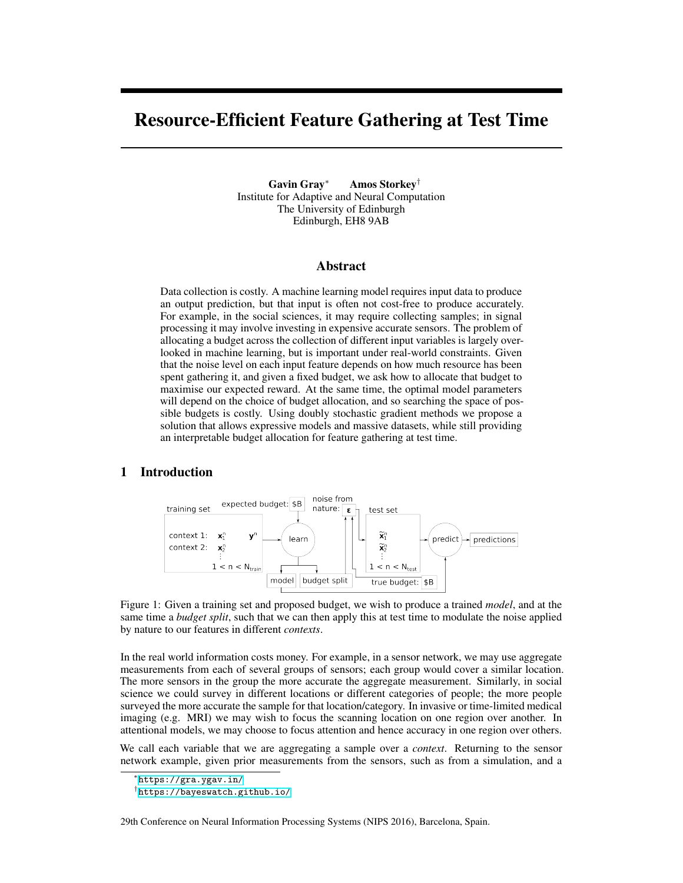# Resource-Efficient Feature Gathering at Test Time

Gavin Gray*<sup>∗</sup>* Amos Storkey*†* Institute for Adaptive and Neural Computation The University of Edinburgh Edinburgh, EH8 9AB

### Abstract

Data collection is costly. A machine learning model requires input data to produce an output prediction, but that input is often not cost-free to produce accurately. For example, in the social sciences, it may require collecting samples; in signal processing it may involve investing in expensive accurate sensors. The problem of allocating a budget across the collection of different input variables is largely overlooked in machine learning, but is important under real-world constraints. Given that the noise level on each input feature depends on how much resource has been spent gathering it, and given a fixed budget, we ask how to allocate that budget to maximise our expected reward. At the same time, the optimal model parameters will depend on the choice of budget allocation, and so searching the space of possible budgets is costly. Using doubly stochastic gradient methods we propose a solution that allows expressive models and massive datasets, while still providing an interpretable budget allocation for feature gathering at test time.

# <span id="page-0-0"></span>1 Introduction



Figure 1: Given a training set and proposed budget, we wish to produce a trained *model*, and at the same time a *budget split*, such that we can then apply this at test time to modulate the noise applied by nature to our features in different *contexts*.

In the real world information costs money. For example, in a sensor network, we may use aggregate measurements from each of several groups of sensors; each group would cover a similar location. The more sensors in the group the more accurate the aggregate measurement. Similarly, in social science we could survey in different locations or different categories of people; the more people surveyed the more accurate the sample for that location/category. In invasive or time-limited medical imaging (e.g. MRI) we may wish to focus the scanning location on one region over another. In attentional models, we may choose to focus attention and hence accuracy in one region over others.

We call each variable that we are aggregating a sample over a *context*. Returning to the sensor network example, given prior measurements from the sensors, such as from a simulation, and a

29th Conference on Neural Information Processing Systems (NIPS 2016), Barcelona, Spain.

*<sup>∗</sup>* <https://gra.ygav.in/>

*<sup>†</sup>* <https://bayeswatch.github.io/>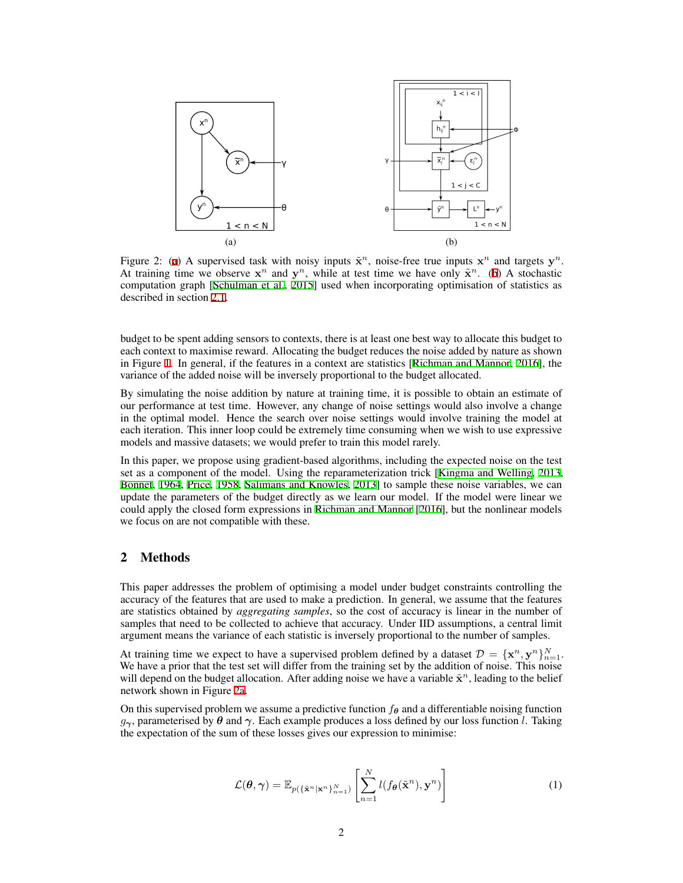<span id="page-1-0"></span>

Figure 2: ([a](#page-1-0)) A supervised task with noisy inputs  $\tilde{\mathbf{x}}^n$ , noise-free true inputs  $\mathbf{x}^n$  and targets  $\mathbf{y}^n$ . At training time we observe  $x^n$  and  $y^n$ , while at test time we have only  $\tilde{x}^n$ . [\(b](#page-1-0)) A stochastic computation graph [\[Schulman et al.](#page-4-0), [2015](#page-4-0)] used when incorporating optimisation of statistics as described in section [2.1](#page-2-0).

budget to be spent adding sensors to contexts, there is at least one best way to allocate this budget to each context to maximise reward. Allocating the budget reduces the noise added by nature as shown in Figure [1.](#page-0-0) In general, if the features in a context are statistics [[Richman and Mannor,](#page-4-1) [2016\]](#page-4-1), the variance of the added noise will be inversely proportional to the budget allocated.

By simulating the noise addition by nature at training time, it is possible to obtain an estimate of our performance at test time. However, any change of noise settings would also involve a change in the optimal model. Hence the search over noise settings would involve training the model at each iteration. This inner loop could be extremely time consuming when we wish to use expressive models and massive datasets; we would prefer to train this model rarely.

In this paper, we propose using gradient-based algorithms, including the expected noise on the test set as a component of the model. Using the reparameterization trick [\[Kingma and Welling](#page-4-2), [2013,](#page-4-2) [Bonnet,](#page-4-3) [1964](#page-4-3), [Price](#page-4-4), [1958,](#page-4-4) [Salimans and Knowles,](#page-4-5) [2013](#page-4-5)] to sample these noise variables, we can update the parameters of the budget directly as we learn our model. If the model were linear we could apply the closed form expressions in [Richman and Mannor](#page-4-1) [\[2016](#page-4-1)], but the nonlinear models we focus on are not compatible with these.

## 2 Methods

This paper addresses the problem of optimising a model under budget constraints controlling the accuracy of the features that are used to make a prediction. In general, we assume that the features are statistics obtained by *aggregating samples*, so the cost of accuracy is linear in the number of samples that need to be collected to achieve that accuracy. Under IID assumptions, a central limit argument means the variance of each statistic is inversely proportional to the number of samples.

At training time we expect to have a supervised problem defined by a dataset  $\mathcal{D} = {\mathbf{x}^n, \mathbf{y}^n}_{n=1}^N$ . We have a prior that the test set will differ from the training set by the addition of noise. This noise will depend on the budget allocation. After adding noise we have a variable  $\tilde{\mathbf{x}}^n$ , leading to the belief network shown in Figure [2a](#page-1-0).

On this supervised problem we assume a predictive function  $f_{\theta}$  and a differentiable noising function *g*<sub>*γ*</sub>, parameterised by  $\theta$  and  $\gamma$ . Each example produces a loss defined by our loss function *l*. Taking the expectation of the sum of these losses gives our expression to minimise:

$$
\mathcal{L}(\boldsymbol{\theta}, \boldsymbol{\gamma}) = \mathbb{E}_{p(\{\tilde{\mathbf{x}}^n | \mathbf{x}^n\}_{n=1}^N)} \left[ \sum_{n=1}^N l(f_{\boldsymbol{\theta}}(\tilde{\mathbf{x}}^n), \mathbf{y}^n) \right]
$$
(1)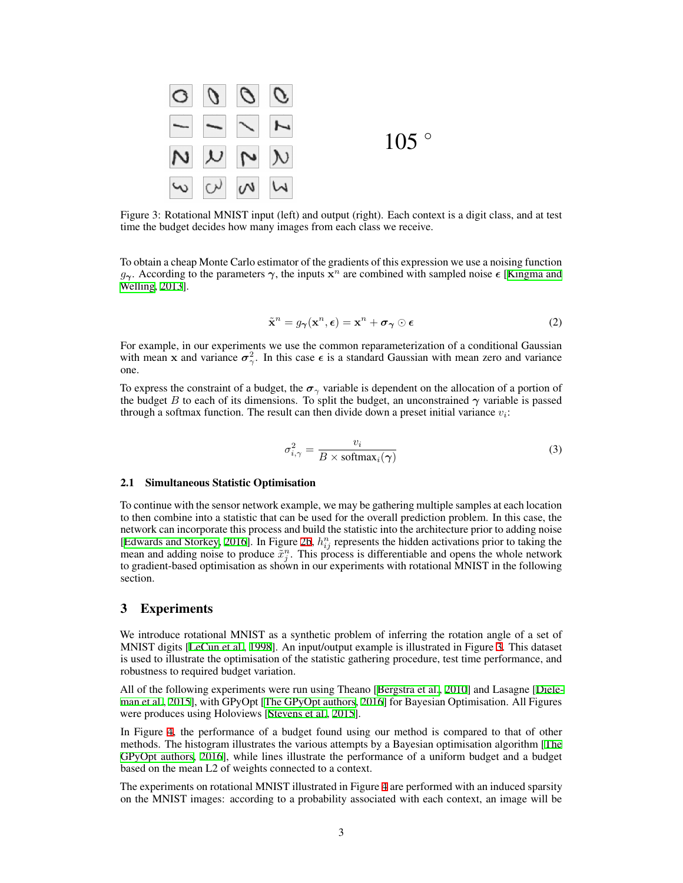<span id="page-2-1"></span>

Figure 3: Rotational MNIST input (left) and output (right). Each context is a digit class, and at test time the budget decides how many images from each class we receive.

To obtain a cheap Monte Carlo estimator of the gradients of this expression we use a noising function *g*<sub>γ</sub>. According to the parameters  $\gamma$ , the inputs  $\mathbf{x}^n$  are combined with sampled noise  $\epsilon$  [[Kingma and](#page-4-2) [Welling,](#page-4-2) [2013\]](#page-4-2).

$$
\tilde{\mathbf{x}}^n = g_{\gamma}(\mathbf{x}^n, \epsilon) = \mathbf{x}^n + \boldsymbol{\sigma}_{\gamma} \odot \epsilon \tag{2}
$$

For example, in our experiments we use the common reparameterization of a conditional Gaussian with mean **x** and variance  $\sigma_{\gamma}^2$ . In this case  $\epsilon$  is a standard Gaussian with mean zero and variance one.

To express the constraint of a budget, the  $\sigma_{\gamma}$  variable is dependent on the allocation of a portion of the budget *B* to each of its dimensions. To split the budget, an unconstrained  $\gamma$  variable is passed through a softmax function. The result can then divide down a preset initial variance  $v_i$ :

<span id="page-2-2"></span>
$$
\sigma_{i,\gamma}^2 = \frac{v_i}{B \times \text{softmax}_i(\gamma)}\tag{3}
$$

#### <span id="page-2-0"></span>2.1 Simultaneous Statistic Optimisation

To continue with the sensor network example, we may be gathering multiple samples at each location to then combine into a statistic that can be used for the overall prediction problem. In this case, the network can incorporate this process and build the statistic into the architecture prior to adding noise [\[Edwards and Storkey](#page-4-6), [2016](#page-4-6)]. In Figure [2b](#page-1-0),  $h_{ij}^n$  represents the hidden activations prior to taking the mean and adding noise to produce  $\tilde{x}_j^n$ . This process is differentiable and opens the whole network to gradient-based optimisation as shown in our experiments with rotational MNIST in the following section.

## 3 Experiments

We introduce rotational MNIST as a synthetic problem of inferring the rotation angle of a set of MNIST digits [[LeCun et al.,](#page-4-7) [1998\]](#page-4-7). An input/output example is illustrated in Figure [3](#page-2-1). This dataset is used to illustrate the optimisation of the statistic gathering procedure, test time performance, and robustness to required budget variation.

All of the following experiments were run using Theano [\[Bergstra et al.,](#page-4-8) [2010\]](#page-4-8) and Lasagne [[Diele](#page-4-9)[man et al.](#page-4-9), [2015](#page-4-9)], with GPyOpt [\[The GPyOpt authors](#page-4-10), [2016\]](#page-4-10) for Bayesian Optimisation. All Figures were produces using Holoviews [[Stevens et al.](#page-4-11), [2015\]](#page-4-11).

In Figure [4](#page-3-0), the performance of a budget found using our method is compared to that of other methods. The histogram illustrates the various attempts by a Bayesian optimisation algorithm [[The](#page-4-10) [GPyOpt authors,](#page-4-10) [2016\]](#page-4-10), while lines illustrate the performance of a uniform budget and a budget based on the mean L2 of weights connected to a context.

The experiments on rotational MNIST illustrated in Figure [4](#page-3-0) are performed with an induced sparsity on the MNIST images: according to a probability associated with each context, an image will be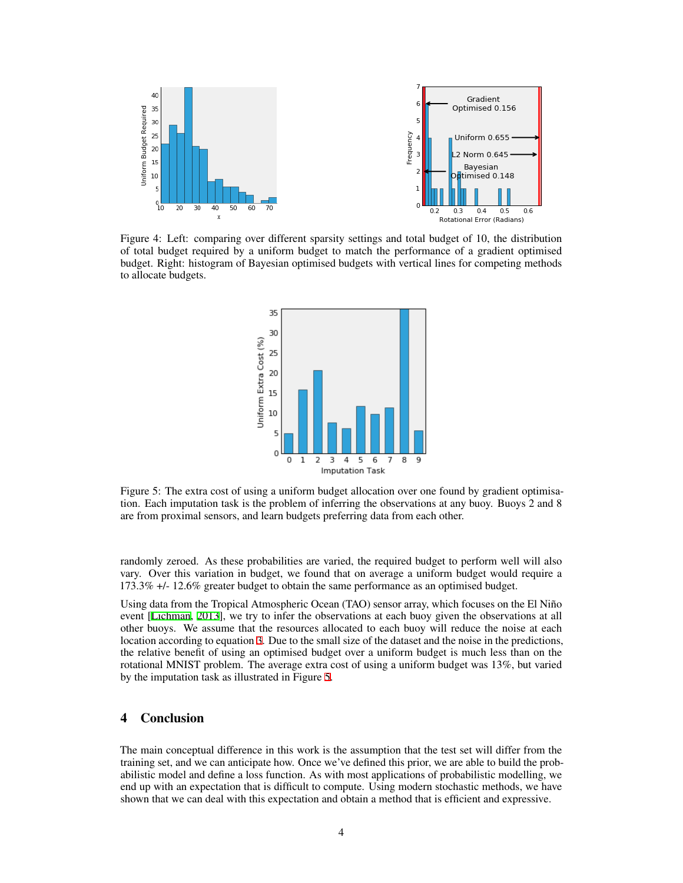<span id="page-3-0"></span>

<span id="page-3-1"></span>Figure 4: Left: comparing over different sparsity settings and total budget of 10, the distribution of total budget required by a uniform budget to match the performance of a gradient optimised budget. Right: histogram of Bayesian optimised budgets with vertical lines for competing methods to allocate budgets.



Figure 5: The extra cost of using a uniform budget allocation over one found by gradient optimisation. Each imputation task is the problem of inferring the observations at any buoy. Buoys 2 and 8 are from proximal sensors, and learn budgets preferring data from each other.

randomly zeroed. As these probabilities are varied, the required budget to perform well will also vary. Over this variation in budget, we found that on average a uniform budget would require a 173.3% +/- 12.6% greater budget to obtain the same performance as an optimised budget.

Using data from the Tropical Atmospheric Ocean (TAO) sensor array, which focuses on the El Niño event [[Lichman](#page-4-12), [2013\]](#page-4-12), we try to infer the observations at each buoy given the observations at all other buoys. We assume that the resources allocated to each buoy will reduce the noise at each location according to equation [3](#page-2-2). Due to the small size of the dataset and the noise in the predictions, the relative benefit of using an optimised budget over a uniform budget is much less than on the rotational MNIST problem. The average extra cost of using a uniform budget was 13%, but varied by the imputation task as illustrated in Figure [5](#page-3-1).

## 4 Conclusion

The main conceptual difference in this work is the assumption that the test set will differ from the training set, and we can anticipate how. Once we've defined this prior, we are able to build the probabilistic model and define a loss function. As with most applications of probabilistic modelling, we end up with an expectation that is difficult to compute. Using modern stochastic methods, we have shown that we can deal with this expectation and obtain a method that is efficient and expressive.